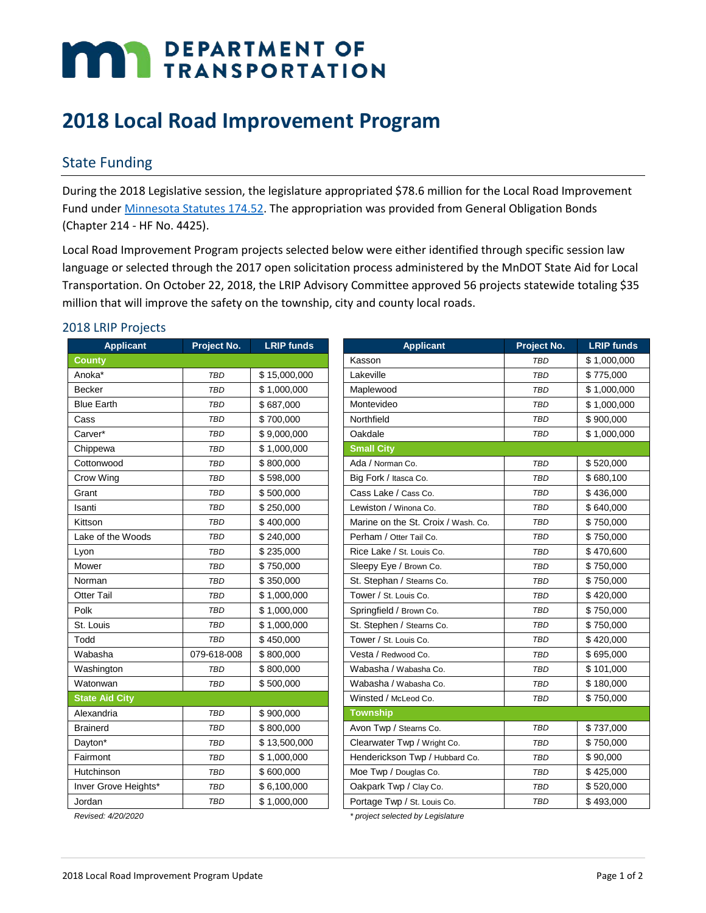# **MAY DEPARTMENT OF TRANSPORTATION**

# **2018 Local Road Improvement Program**

## State Funding

During the 2018 Legislative session, the legislature appropriated \$78.6 million for the Local Road Improvement Fund under [Minnesota Statutes 174.52.](https://www.revisor.mn.gov/statutes/?id=174.52) The appropriation was provided from General Obligation Bonds (Chapter 214 - HF No. 4425).

Local Road Improvement Program projects selected below were either identified through specific session law language or selected through the 2017 open solicitation process administered by the MnDOT State Aid for Local Transportation. On October 22, 2018, the LRIP Advisory Committee approved 56 projects statewide totaling \$35 million that will improve the safety on the township, city and county local roads.

#### 2018 LRIP Projects

| <b>Applicant</b>      | Project No. | <b>LRIP</b> funds | <b>Applicant</b>                    | Project No. | <b>LRIP funds</b> |
|-----------------------|-------------|-------------------|-------------------------------------|-------------|-------------------|
| <b>County</b>         |             |                   | Kasson                              | <b>TBD</b>  | \$1,000,000       |
| Anoka*                | <b>TBD</b>  | \$15,000,000      | Lakeville                           | <b>TBD</b>  | \$775,000         |
| Becker                | <b>TBD</b>  | \$1,000,000       | Maplewood                           | <b>TBD</b>  | \$1,000,000       |
| <b>Blue Earth</b>     | <b>TBD</b>  | \$687,000         | Montevideo                          | <b>TBD</b>  | \$1,000,000       |
| Cass                  | <b>TBD</b>  | \$700,000         | Northfield                          | <b>TBD</b>  | \$900,000         |
| Carver*               | <b>TBD</b>  | \$9,000,000       | Oakdale                             | <b>TBD</b>  | \$1,000,000       |
| Chippewa              | <b>TBD</b>  | \$1,000,000       | <b>Small City</b>                   |             |                   |
| Cottonwood            | <b>TBD</b>  | \$800,000         | Ada / Norman Co.                    | <b>TBD</b>  | \$520,000         |
| Crow Wing             | <b>TBD</b>  | \$598,000         | Big Fork / Itasca Co.               | <b>TBD</b>  | \$680,100         |
| Grant                 | <b>TBD</b>  | \$500,000         | Cass Lake / Cass Co.                | <b>TBD</b>  | \$436,000         |
| Isanti                | <b>TBD</b>  | \$250,000         | Lewiston / Winona Co.               | <b>TBD</b>  | \$640,000         |
| Kittson               | <b>TBD</b>  | \$400,000         | Marine on the St. Croix / Wash. Co. | <b>TBD</b>  | \$750,000         |
| Lake of the Woods     | <b>TBD</b>  | \$240,000         | Perham / Otter Tail Co.             | <b>TBD</b>  | \$750,000         |
| Lyon                  | <b>TBD</b>  | \$235,000         | Rice Lake / St. Louis Co.           | <b>TBD</b>  | \$470.600         |
| Mower                 | <b>TBD</b>  | \$750,000         | Sleepy Eye / Brown Co.              | <b>TBD</b>  | \$750,000         |
| Norman                | <b>TBD</b>  | \$350,000         | St. Stephan / Stearns Co.           | <b>TBD</b>  | \$750,000         |
| <b>Otter Tail</b>     | <b>TBD</b>  | \$1,000,000       | Tower / St. Louis Co.               | <b>TBD</b>  | \$420,000         |
| Polk                  | <b>TBD</b>  | \$1,000,000       | Springfield / Brown Co.             | <b>TBD</b>  | \$750,000         |
| St. Louis             | <b>TBD</b>  | \$1,000,000       | St. Stephen / Stearns Co.           | <b>TBD</b>  | \$750,000         |
| Todd                  | <b>TBD</b>  | \$450,000         | Tower / St. Louis Co.               | <b>TBD</b>  | \$420,000         |
| Wabasha               | 079-618-008 | \$800,000         | Vesta / Redwood Co.                 | <b>TBD</b>  | \$695,000         |
| Washington            | <b>TBD</b>  | \$800,000         | Wabasha / Wabasha Co.               | <b>TBD</b>  | \$101,000         |
| Watonwan              | <b>TBD</b>  | \$500,000         | Wabasha / Wabasha Co.               | <b>TBD</b>  | \$180,000         |
| <b>State Aid City</b> |             |                   | Winsted / McLeod Co.                | <b>TBD</b>  | \$750,000         |
| Alexandria            | <b>TBD</b>  | \$900,000         | <b>Township</b>                     |             |                   |
| <b>Brainerd</b>       | <b>TBD</b>  | \$800,000         | Avon Twp / Stearns Co.              | <b>TBD</b>  | \$737,000         |
| Dayton*               | <b>TBD</b>  | \$13,500,000      | Clearwater Twp / Wright Co.         | <b>TBD</b>  | \$750,000         |
| Fairmont              | <b>TBD</b>  | \$1,000,000       | Henderickson Twp / Hubbard Co.      | <b>TBD</b>  | \$90,000          |
| Hutchinson            | <b>TBD</b>  | \$600,000         | Moe Twp / Douglas Co.               | <b>TBD</b>  | \$425,000         |
| Inver Grove Heights*  | <b>TBD</b>  | \$6,100,000       | Oakpark Twp / Clay Co.              | <b>TBD</b>  | \$520,000         |
| Jordan                | <b>TBD</b>  | \$1,000,000       | Portage Twp / St. Louis Co.         | <b>TBD</b>  | \$493,000         |

*Revised: 4/20/2020 \* project selected by Legislature*